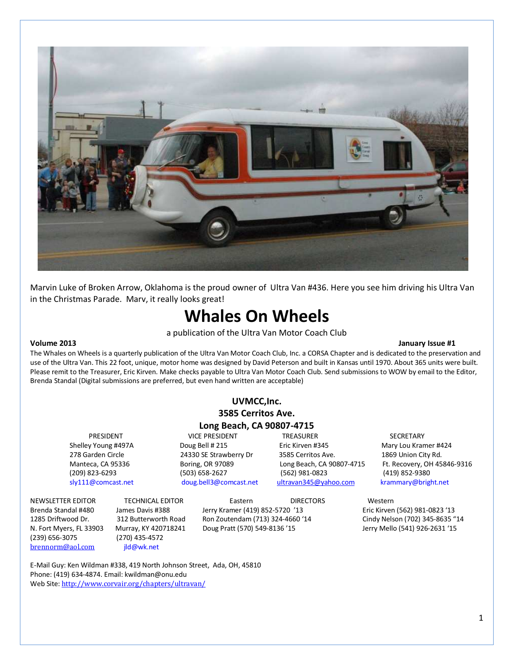

Marvin Luke of Broken Arrow, Oklahoma is the proud owner of Ultra Van #436. Here you see him driving his Ultra Van in the Christmas Parade. Marv, it really looks great!

# Whales On Wheels

a publication of the Ultra Van Motor Coach Club

#### Volume 2013 January Issue #1

The Whales on Wheels is a quarterly publication of the Ultra Van Motor Coach Club, Inc. a CORSA Chapter and is dedicated to the preservation and use of the Ultra Van. This 22 foot, unique, motor home was designed by David Peterson and built in Kansas until 1970. About 365 units were built. Please remit to the Treasurer, Eric Kirven. Make checks payable to Ultra Van Motor Coach Club. Send submissions to WOW by email to the Editor, Brenda Standal (Digital submissions are preferred, but even hand written are acceptable)

| UVMCC.Inc.                |
|---------------------------|
| 3585 Cerritos Ave.        |
| Long Beach, CA 90807-4715 |

PRESIDENT **TREASURER** SECRETARY VICE PRESIDENT TREASURER SECRETARY Shelley Young #497A Doug Bell # 215 Eric Kirven #345 Mary Lou Kramer #424 278 Garden Circle 24330 SE Strawberry Dr 3585 Cerritos Ave. 1869 Union City Rd. (209) 823-6293 (503) 658-2627 (562) 981-0823 (419) 852-9380 sly111@comcast.net doug.bell3@comcast.net ultravan345@yahoo.com krammary@bright.net

Manteca, CA 95336 Boring, OR 97089 Long Beach, CA 90807-4715 Ft. Recovery, OH 45846-9316

(239) 656-3075 (270) 435-4572 [brennorm@aol.com](mailto:brennorm@aol.com) jld@wk.net

NEWSLETTER EDITOR TECHNICAL EDITOR Eastern DIRECTORS Western Brenda Standal #480 James Davis #388 Jerry Kramer (419) 852-5720 '13 Eric Kirven (562) 981-0823 '13 1285 Driftwood Dr. 312 Butterworth Road Ron Zoutendam (713) 324-4660 '14 Cindy Nelson (702) 345-8635 "14 N. Fort Myers, FL 33903 Murray, KY 420718241 Doug Pratt (570) 549-8136 '15 Jerry Mello (541) 926-2631 '15

E-Mail Guy: Ken Wildman #338, 419 North Johnson Street, Ada, OH, 45810 Phone: (419) 634-4874. Email: kwildman@onu.edu Web Site: <http://www.corvair.org/chapters/ultravan/>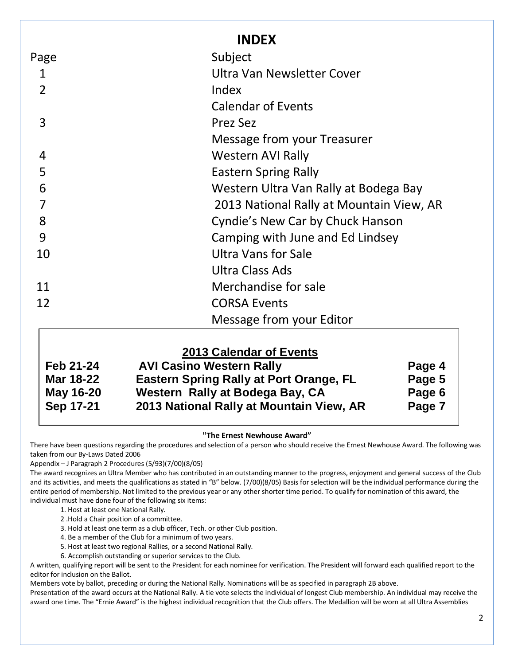|                | <b>INDEX</b>                             |
|----------------|------------------------------------------|
| Page           | Subject                                  |
| 1              | Ultra Van Newsletter Cover               |
| $\overline{2}$ | Index                                    |
|                | <b>Calendar of Events</b>                |
| 3              | Prez Sez                                 |
|                | Message from your Treasurer              |
| 4              | Western AVI Rally                        |
| 5              | <b>Eastern Spring Rally</b>              |
| 6              | Western Ultra Van Rally at Bodega Bay    |
|                | 2013 National Rally at Mountain View, AR |
| 8              | Cyndie's New Car by Chuck Hanson         |
| 9              | Camping with June and Ed Lindsey         |
| 10             | <b>Ultra Vans for Sale</b>               |
|                | Ultra Class Ads                          |
| 11             | Merchandise for sale                     |
| 12             | <b>CORSA Events</b>                      |
|                | Message from your Editor                 |

## **2013 Calendar of Events Feb 21-24 AVI Casino Western Rally Page 4 Mar 18-22 Eastern Spring Rally at Port Orange, FL Page 5 May 16-20 Western Rally at Bodega Bay, CA Page 6 Sep 17-21 2013 National Rally at Mountain View, AR Page 7**

### **"**The Ernest Newhouse Award"

There have been questions regarding the procedures and selection of a person who should receive the Ernest Newhouse Award. The following was taken from our By-Laws Dated 2006

Appendix – J Paragraph 2 Procedures (5/93)(7/00)(8/05)

The award recognizes an Ultra Member who has contributed in an outstanding manner to the progress, enjoyment and general success of the Club and its activities, and meets the qualifications as stated in "B" below. (7/00)(8/05) Basis for selection will be the individual performance during the entire period of membership. Not limited to the previous year or any other shorter time period. To qualify for nomination of this award, the individual must have done four of the following six items:

1. Host at least one National Rally.

2 .Hold a Chair position of a committee.

3. Hold at least one term as a club officer, Tech. or other Club position.

4. Be a member of the Club for a minimum of two years.

5. Host at least two regional Rallies, or a second National Rally.

6. Accomplish outstanding or superior services to the Club.

A written, qualifying report will be sent to the President for each nominee for verification. The President will forward each qualified report to the editor for inclusion on the Ballot.

Members vote by ballot, preceding or during the National Rally. Nominations will be as specified in paragraph 2B above.

Presentation of the award occurs at the National Rally. A tie vote selects the individual of longest Club membership. An individual may receive the award one time. The "Ernie Award" is the highest individual recognition that the Club offers. The Medallion will be worn at all Ultra Assemblies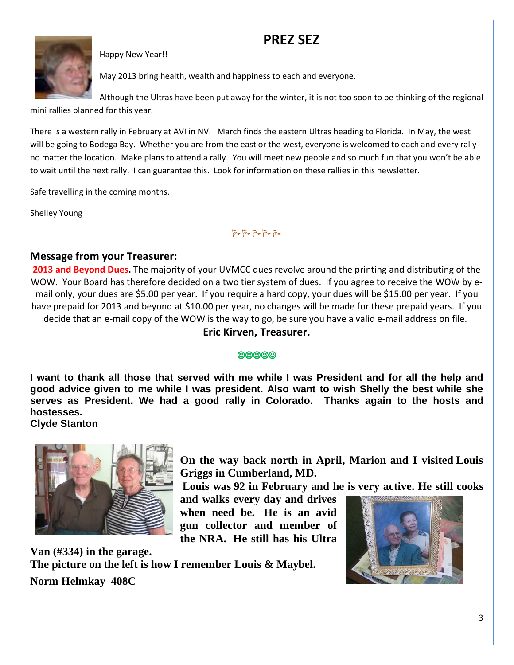## PREZ SEZ



Happy New Year!!

May 2013 bring health, wealth and happiness to each and everyone.

Although the Ultras have been put away for the winter, it is not too soon to be thinking of the regional mini rallies planned for this year.

There is a western rally in February at AVI in NV. March finds the eastern Ultras heading to Florida. In May, the west will be going to Bodega Bay. Whether you are from the east or the west, everyone is welcomed to each and every rally no matter the location. Make plans to attend a rally. You will meet new people and so much fun that you won't be able to wait until the next rally. I can guarantee this. Look for information on these rallies in this newsletter.

Safe travelling in the coming months.

Shelley Young

BBBBB

## Message from your Treasurer:

2013 and Beyond Dues. The majority of your UVMCC dues revolve around the printing and distributing of the WOW. Your Board has therefore decided on a two tier system of dues. If you agree to receive the WOW by email only, your dues are \$5.00 per year. If you require a hard copy, your dues will be \$15.00 per year. If you have prepaid for 2013 and beyond at \$10.00 per year, no changes will be made for these prepaid years. If you decide that an e-mail copy of the WOW is the way to go, be sure you have a valid e-mail address on file.

Eric Kirven, Treasurer.

### ☺☺☺☺☺

**I want to thank all those that served with me while I was President and for all the help and good advice given to me while I was president. Also want to wish Shelly the best while she serves as President. We had a good rally in Colorado. Thanks again to the hosts and hostesses. Clyde Stanton** 



**On the way back north in April, Marion and I visited Louis Griggs in Cumberland, MD.** 

**Louis was 92 in February and he is very active. He still cooks** 

**and walks every day and drives when need be. He is an avid gun collector and member of the NRA. He still has his Ultra** 

**Van (#334) in the garage. The picture on the left is how I remember Louis & Maybel. Norm Helmkay 408C**

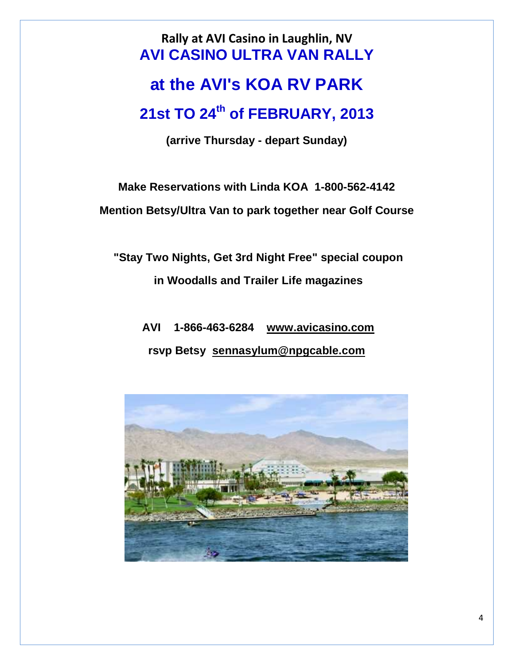Rally at AVI Casino in Laughlin, NV **AVI CASINO ULTRA VAN RALLY**

# **at the AVI's KOA RV PARK**

# **21st TO 24th of FEBRUARY, 2013**

**(arrive Thursday - depart Sunday)** 

**Make Reservations with Linda KOA 1-800-562-4142** 

**Mention Betsy/Ultra Van to park together near Golf Course** 

 **"Stay Two Nights, Get 3rd Night Free" special coupon in Woodalls and Trailer Life magazines** 

 **AVI 1-866-463-6284 [www.avicasino.com](http://www.avicasino.com/) rsvp Betsy [sennasylum@npgcable.com](mailto:sennasylum@npgcable.com)**

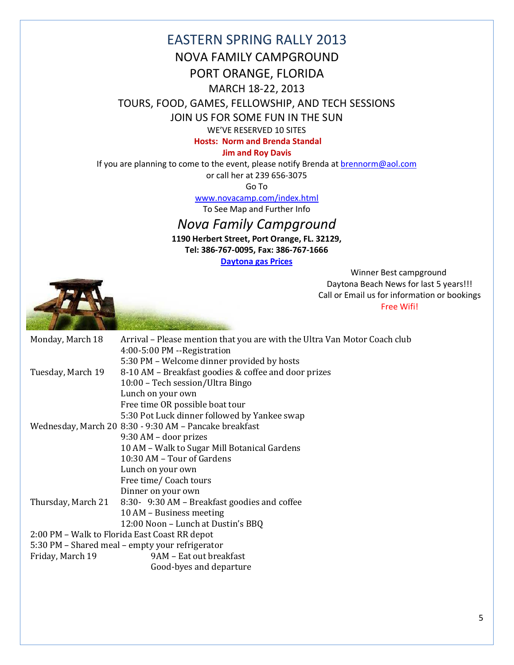## EASTERN SPRING RALLY 2013 NOVA FAMILY CAMPGROUND PORT ORANGE, FLORIDA

## MARCH 18-22, 2013

TOURS, FOOD, GAMES, FELLOWSHIP, AND TECH SESSIONS

JOIN US FOR SOME FUN IN THE SUN

WE'VE RESERVED 10 SITES

Hosts: Norm and Brenda Standal

### Jim and Roy Davis

If you are planning to come to the event, please notify Brenda at [brennorm@aol.com](mailto:brennorm@aol.com)

or call her at 239 656-3075

Go To

[www.novacamp.com/index.html](http://www.novacamp.com/index.html)

To See Map and Further Info

## Nova Family Campground

1190 Herbert Street, Port Orange, FL. 32129, Tel: 386-767-0095, Fax: 386-767-1666

[Daytona gas Prices](http://www.floridastategasprices.com/Daytona_Beach/index.aspx)

Winner Best campground Daytona Beach News for last 5 years!!! Call or Email us for information or bookings Free Wifi!



| Monday, March 18                                | Arrival – Please mention that you are with the Ultra Van Motor Coach club<br>4:00-5:00 PM --Registration |  |  |  |
|-------------------------------------------------|----------------------------------------------------------------------------------------------------------|--|--|--|
|                                                 | 5:30 PM – Welcome dinner provided by hosts                                                               |  |  |  |
| Tuesday, March 19                               | 8-10 AM – Breakfast goodies & coffee and door prizes                                                     |  |  |  |
|                                                 | 10:00 – Tech session/Ultra Bingo                                                                         |  |  |  |
|                                                 | Lunch on your own                                                                                        |  |  |  |
|                                                 | Free time OR possible boat tour                                                                          |  |  |  |
|                                                 | 5:30 Pot Luck dinner followed by Yankee swap                                                             |  |  |  |
|                                                 | Wednesday, March 20 8:30 - 9:30 AM - Pancake breakfast                                                   |  |  |  |
|                                                 | 9:30 AM – door prizes                                                                                    |  |  |  |
|                                                 | 10 AM - Walk to Sugar Mill Botanical Gardens                                                             |  |  |  |
|                                                 | 10:30 AM - Tour of Gardens                                                                               |  |  |  |
|                                                 | Lunch on your own                                                                                        |  |  |  |
|                                                 | Free time/ Coach tours                                                                                   |  |  |  |
|                                                 | Dinner on your own                                                                                       |  |  |  |
| Thursday, March 21                              | 8:30- 9:30 AM – Breakfast goodies and coffee                                                             |  |  |  |
|                                                 | 10 AM - Business meeting                                                                                 |  |  |  |
|                                                 | 12:00 Noon - Lunch at Dustin's BBQ                                                                       |  |  |  |
| 2:00 PM – Walk to Florida East Coast RR depot   |                                                                                                          |  |  |  |
| 5:30 PM – Shared meal – empty your refrigerator |                                                                                                          |  |  |  |
| Friday, March 19                                | 9AM - Eat out breakfast                                                                                  |  |  |  |
|                                                 | Good-byes and departure                                                                                  |  |  |  |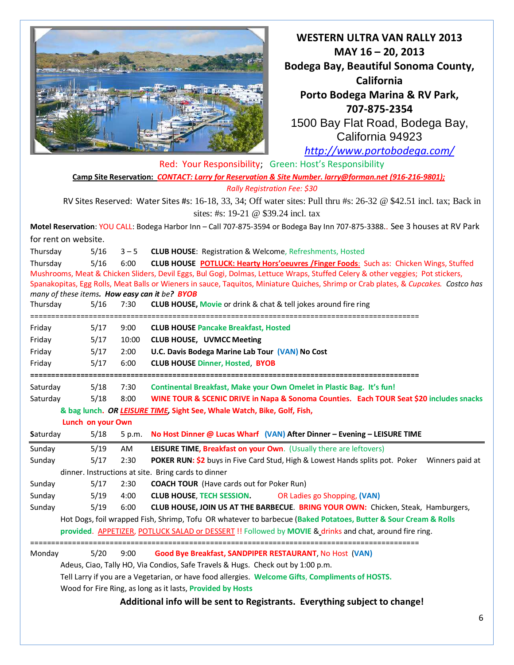

WESTERN ULTRA VAN RALLY 2013 MAY 16 – 20, 2013 Bodega Bay, Beautiful Sonoma County, California Porto Bodega Marina & RV Park, 707-875-2354 1500 Bay Flat Road, Bodega Bay, California 94923

<http://www.portobodega.com/>

|                                                                                                                           |                                           |         | Red: Your Responsibility; Green: Host's Responsibility                                                                              |  |  |  |
|---------------------------------------------------------------------------------------------------------------------------|-------------------------------------------|---------|-------------------------------------------------------------------------------------------------------------------------------------|--|--|--|
| Camp Site Reservation: CONTACT: Larry for Reservation & Site Number. larry@forman.net (916-216-9801);                     |                                           |         |                                                                                                                                     |  |  |  |
|                                                                                                                           |                                           |         | <b>Rally Registration Fee: \$30</b>                                                                                                 |  |  |  |
| RV Sites Reserved: Water Sites #s: 16-18, 33, 34; Off water sites: Pull thru #s: 26-32 @ \$42.51 incl. tax; Back in       |                                           |         |                                                                                                                                     |  |  |  |
|                                                                                                                           |                                           |         | sites: #s: 19-21 @ \$39.24 incl. tax                                                                                                |  |  |  |
| Motel Reservation: YOU CALL: Bodega Harbor Inn - Call 707-875-3594 or Bodega Bay Inn 707-875-3388 See 3 houses at RV Park |                                           |         |                                                                                                                                     |  |  |  |
|                                                                                                                           | for rent on website.                      |         |                                                                                                                                     |  |  |  |
| Thursday                                                                                                                  | 5/16                                      | $3 - 5$ | <b>CLUB HOUSE:</b> Registration & Welcome, Refreshments, Hosted                                                                     |  |  |  |
| Thursday                                                                                                                  | 5/16                                      | 6:00    | CLUB HOUSE POTLUCK: Hearty Hors'oeuvres /Finger Foods: Such as: Chicken Wings, Stuffed                                              |  |  |  |
|                                                                                                                           |                                           |         | Mushrooms, Meat & Chicken Sliders, Devil Eggs, Bul Gogi, Dolmas, Lettuce Wraps, Stuffed Celery & other veggies; Pot stickers,       |  |  |  |
|                                                                                                                           |                                           |         | Spanakopitas, Egg Rolls, Meat Balls or Wieners in sauce, Taquitos, Miniature Quiches, Shrimp or Crab plates, & Cupcakes. Costco has |  |  |  |
|                                                                                                                           |                                           |         | many of these items. How easy can it be? BYOB                                                                                       |  |  |  |
| Thursday                                                                                                                  | 5/16<br>================================= | 7:30    | <b>CLUB HOUSE, Movie or drink &amp; chat &amp; tell jokes around fire ring</b>                                                      |  |  |  |
| Friday                                                                                                                    | 5/17                                      | 9:00    | <b>CLUB HOUSE Pancake Breakfast, Hosted</b>                                                                                         |  |  |  |
| Friday                                                                                                                    | 5/17                                      | 10:00   | <b>CLUB HOUSE, UVMCC Meeting</b>                                                                                                    |  |  |  |
| Friday                                                                                                                    | 5/17                                      | 2:00    | U.C. Davis Bodega Marine Lab Tour (VAN) No Cost                                                                                     |  |  |  |
| Friday                                                                                                                    | 5/17                                      | 6:00    | <b>CLUB HOUSE Dinner, Hosted, BYOB</b>                                                                                              |  |  |  |
|                                                                                                                           |                                           |         |                                                                                                                                     |  |  |  |
| Saturday                                                                                                                  | 5/18                                      | 7:30    | Continental Breakfast, Make your Own Omelet in Plastic Bag. It's fun!                                                               |  |  |  |
| Saturday                                                                                                                  | 5/18                                      | 8:00    | WINE TOUR & SCENIC DRIVE in Napa & Sonoma Counties. Each TOUR Seat \$20 includes snacks                                             |  |  |  |
| & bag lunch. OR LEISURE TIME, Sight See, Whale Watch, Bike, Golf, Fish,<br>Lunch on your Own                              |                                           |         |                                                                                                                                     |  |  |  |
| Saturday                                                                                                                  | 5/18                                      | 5 p.m.  | No Host Dinner @ Lucas Wharf (VAN) After Dinner - Evening - LEISURE TIME                                                            |  |  |  |
|                                                                                                                           |                                           |         |                                                                                                                                     |  |  |  |
| Sunday                                                                                                                    | 5/19                                      | AM      | LEISURE TIME, Breakfast on your Own. (Usually there are leftovers)                                                                  |  |  |  |
| Sunday                                                                                                                    | 5/17                                      | 2:30    | <b>POKER RUN: \$2</b> buys in Five Card Stud, High & Lowest Hands splits pot. Poker Winners paid at                                 |  |  |  |
|                                                                                                                           |                                           |         | dinner. Instructions at site. Bring cards to dinner                                                                                 |  |  |  |
| Sunday                                                                                                                    | 5/17                                      | 2:30    | <b>COACH TOUR</b> (Have cards out for Poker Run)                                                                                    |  |  |  |
| Sunday                                                                                                                    | 5/19                                      | 4:00    | <b>CLUB HOUSE, TECH SESSION.</b><br>OR Ladies go Shopping, (VAN)                                                                    |  |  |  |
| Sunday                                                                                                                    | 5/19                                      | 6:00    | CLUB HOUSE, JOIN US AT THE BARBECUE. BRING YOUR OWN: Chicken, Steak, Hamburgers,                                                    |  |  |  |
| Hot Dogs, foil wrapped Fish, Shrimp, Tofu OR whatever to barbecue (Baked Potatoes, Butter & Sour Cream & Rolls            |                                           |         |                                                                                                                                     |  |  |  |
| provided. APPETIZER, POTLUCK SALAD or DESSERT !! Followed by MOVIE & drinks and chat, around fire ring.                   |                                           |         |                                                                                                                                     |  |  |  |
| Monday                                                                                                                    | 5/20                                      | 9:00    | Good Bye Breakfast, SANDPIPER RESTAURANT, No Host (VAN)                                                                             |  |  |  |
| Adeus, Ciao, Tally HO, Via Condios, Safe Travels & Hugs. Check out by 1:00 p.m.                                           |                                           |         |                                                                                                                                     |  |  |  |
| Tell Larry if you are a Vegetarian, or have food allergies. Welcome Gifts, Compliments of HOSTS.                          |                                           |         |                                                                                                                                     |  |  |  |
| Wood for Fire Ring, as long as it lasts, Provided by Hosts                                                                |                                           |         |                                                                                                                                     |  |  |  |
| Additional info will be sent to Registrants. Everything subject to change!                                                |                                           |         |                                                                                                                                     |  |  |  |

6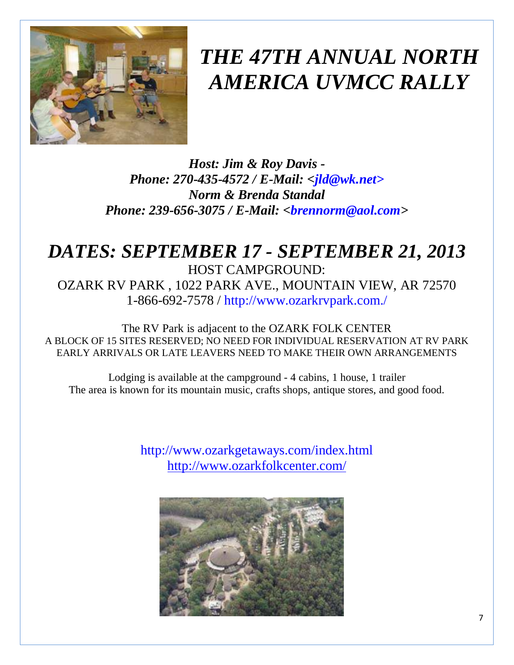

# *THE 47TH ANNUAL NORTH AMERICA UVMCC RALLY*

*Host: Jim & Roy Davis - Phone: 270-435-4572 / E-Mail: <jld@wk.net> Norm & Brenda Standal Phone: 239-656-3075 / E-Mail: <brennorm@aol.com>* 

# *DATES: SEPTEMBER 17 - SEPTEMBER 21, 2013*

HOST CAMPGROUND: OZARK RV PARK , 1022 PARK AVE., MOUNTAIN VIEW, AR 72570 1-866-692-7578 / http://www.ozarkrvpark.com./

The RV Park is adjacent to the OZARK FOLK CENTER A BLOCK OF 15 SITES RESERVED; NO NEED FOR INDIVIDUAL RESERVATION AT RV PARK EARLY ARRIVALS OR LATE LEAVERS NEED TO MAKE THEIR OWN ARRANGEMENTS

Lodging is available at the campground - 4 cabins, 1 house, 1 trailer The area is known for its mountain music, crafts shops, antique stores, and good food.

> http://www.ozarkgetaways.com/index.html <http://www.ozarkfolkcenter.com/>

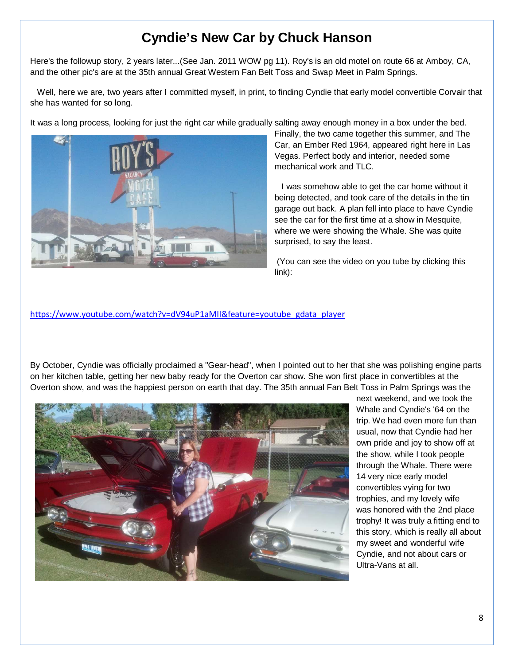## **Cyndie's New Car by Chuck Hanson**

Here's the followup story, 2 years later...(See Jan. 2011 WOW pg 11). Roy's is an old motel on route 66 at Amboy, CA, and the other pic's are at the 35th annual Great Western Fan Belt Toss and Swap Meet in Palm Springs.

 Well, here we are, two years after I committed myself, in print, to finding Cyndie that early model convertible Corvair that she has wanted for so long.

It was a long process, looking for just the right car while gradually salting away enough money in a box under the bed.



Finally, the two came together this summer, and The Car, an Ember Red 1964, appeared right here in Las Vegas. Perfect body and interior, needed some mechanical work and TLC.

 I was somehow able to get the car home without it being detected, and took care of the details in the tin garage out back. A plan fell into place to have Cyndie see the car for the first time at a show in Mesquite, where we were showing the Whale. She was quite surprised, to say the least.

 (You can see the video on you tube by clicking this link):

[https://www.youtube.com/watch?v=dV94uP1aMII&feature=youtube\\_gdata\\_player](https://www.youtube.com/watch?v=dV94uP1aMII&feature=youtube_gdata_player)

By October, Cyndie was officially proclaimed a "Gear-head", when I pointed out to her that she was polishing engine parts on her kitchen table, getting her new baby ready for the Overton car show. She won first place in convertibles at the Overton show, and was the happiest person on earth that day. The 35th annual Fan Belt Toss in Palm Springs was the



next weekend, and we took the Whale and Cyndie's '64 on the trip. We had even more fun than usual, now that Cyndie had her own pride and joy to show off at the show, while I took people through the Whale. There were 14 very nice early model convertibles vying for two trophies, and my lovely wife was honored with the 2nd place trophy! It was truly a fitting end to this story, which is really all about my sweet and wonderful wife Cyndie, and not about cars or Ultra-Vans at all.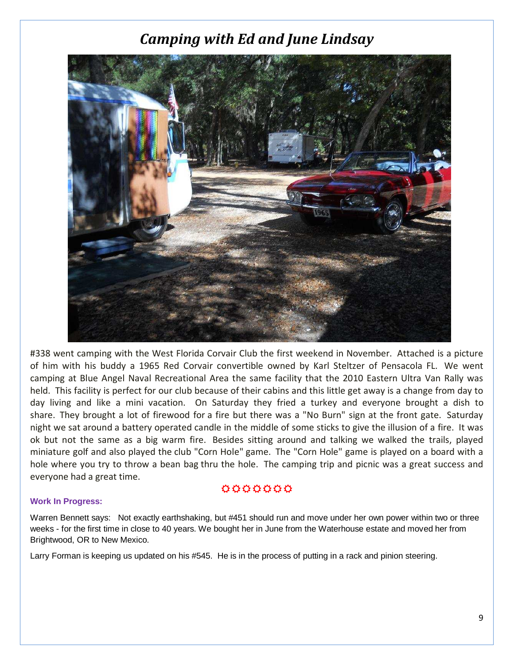# Camping with Ed and June Lindsay



#338 went camping with the West Florida Corvair Club the first weekend in November. Attached is a picture of him with his buddy a 1965 Red Corvair convertible owned by Karl Steltzer of Pensacola FL. We went camping at Blue Angel Naval Recreational Area the same facility that the 2010 Eastern Ultra Van Rally was held. This facility is perfect for our club because of their cabins and this little get away is a change from day to day living and like a mini vacation. On Saturday they fried a turkey and everyone brought a dish to share. They brought a lot of firewood for a fire but there was a "No Burn" sign at the front gate. Saturday night we sat around a battery operated candle in the middle of some sticks to give the illusion of a fire. It was ok but not the same as a big warm fire. Besides sitting around and talking we walked the trails, played miniature golf and also played the club "Corn Hole" game. The "Corn Hole" game is played on a board with a hole where you try to throw a bean bag thru the hole. The camping trip and picnic was a great success and everyone had a great time.

## 0000000

### **Work In Progress:**

Warren Bennett says: Not exactly earthshaking, but #451 should run and move under her own power within two or three weeks - for the first time in close to 40 years. We bought her in June from the Waterhouse estate and moved her from Brightwood, OR to New Mexico.

Larry Forman is keeping us updated on his #545. He is in the process of putting in a rack and pinion steering.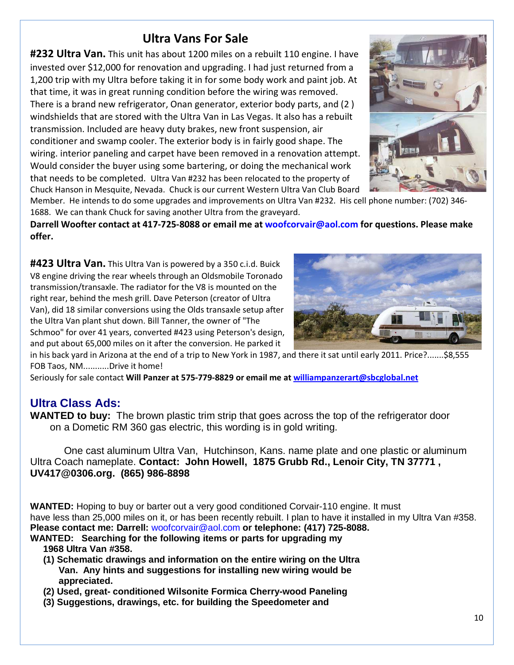## Ultra Vans For Sale

**#232 Ultra Van.** This unit has about 1200 miles on a rebuilt 110 engine. I have invested over \$12,000 for renovation and upgrading. I had just returned from a 1,200 trip with my Ultra before taking it in for some body work and paint job. At that time, it was in great running condition before the wiring was removed. There is a brand new refrigerator, Onan generator, exterior body parts, and (2 ) windshields that are stored with the Ultra Van in Las Vegas. It also has a rebuilt transmission. Included are heavy duty brakes, new front suspension, air conditioner and swamp cooler. The exterior body is in fairly good shape. The wiring. interior paneling and carpet have been removed in a renovation attempt. Would consider the buyer using some bartering, or doing the mechanical work that needs to be completed. Ultra Van #232 has been relocated to the property of Chuck Hanson in Mesquite, Nevada. Chuck is our current Western Ultra Van Club Board



Member. He intends to do some upgrades and improvements on Ultra Van #232. His cell phone number: (702) 346- 1688. We can thank Chuck for saving another Ultra from the graveyard.

Darrell Woofter contact at 417-725-8088 or email me at woofcorvair@aol.com for questions. Please make offer.

#423 Ultra Van. This Ultra Van is powered by a 350 c.i.d. Buick V8 engine driving the rear wheels through an Oldsmobile Toronado transmission/transaxle. The radiator for the V8 is mounted on the right rear, behind the mesh grill. Dave Peterson (creator of Ultra Van), did 18 similar conversions using the Olds transaxle setup after the Ultra Van plant shut down. Bill Tanner, the owner of "The Schmoo" for over 41 years, converted #423 using Peterson's design, and put about 65,000 miles on it after the conversion. He parked it



in his back yard in Arizona at the end of a trip to New York in 1987, and there it sat until early 2011. Price?.......\$8,555 FOB Taos, NM...........Drive it home!

Seriously for sale contact Will Panzer at 575-779-8829 or email me at [williampanzerart@sbcglobal.net](mailto:williampanzerart@sbcglobal.net)

## **Ultra Class Ads:**

**WANTED to buy:** The brown plastic trim strip that goes across the top of the refrigerator door on a Dometic RM 360 gas electric, this wording is in gold writing.

 One cast aluminum Ultra Van, Hutchinson, Kans. name plate and one plastic or aluminum Ultra Coach nameplate. **Contact: John Howell, 1875 Grubb Rd., Lenoir City, TN 37771 , UV417@0306.org. (865) 986-8898** 

**WANTED:** Hoping to buy or barter out a very good conditioned Corvair-110 engine. It must have less than 25,000 miles on it, or has been recently rebuilt. I plan to have it installed in my Ultra Van #358. **Please contact me: Darrell:** woofcorvair@aol.com **or telephone: (417) 725-8088.**

- **WANTED: Searching for the following items or parts for upgrading my 1968 Ultra Van #358.** 
	- **(1) Schematic drawings and information on the entire wiring on the Ultra Van. Any hints and suggestions for installing new wiring would be appreciated.**
	- **(2) Used, great- conditioned Wilsonite Formica Cherry-wood Paneling**
	- **(3) Suggestions, drawings, etc. for building the Speedometer and**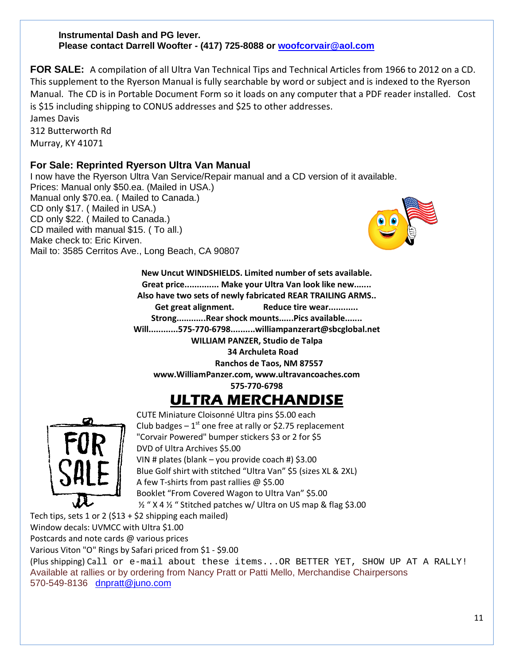### **Instrumental Dash and PG lever. Please contact Darrell Woofter - (417) 725-8088 or [woofcorvair@aol.com](mailto:woofcorvair@aol.com)**

**FOR SALE:** A compilation of all Ultra Van Technical Tips and Technical Articles from 1966 to 2012 on a CD. This supplement to the Ryerson Manual is fully searchable by word or subject and is indexed to the Ryerson Manual. The CD is in Portable Document Form so it loads on any computer that a PDF reader installed. Cost is \$15 including shipping to CONUS addresses and \$25 to other addresses.

James Davis 312 Butterworth Rd Murray, KY 41071

## **For Sale: Reprinted Ryerson Ultra Van Manual**

I now have the Ryerson Ultra Van Service/Repair manual and a CD version of it available. Prices: Manual only \$50.ea. (Mailed in USA.) Manual only \$70.ea. ( Mailed to Canada.) CD only \$17. ( Mailed in USA.) CD only \$22. ( Mailed to Canada.) CD mailed with manual \$15. ( To all.) Make check to: Eric Kirven. Mail to: 3585 Cerritos Ave., Long Beach, CA 90807



New Uncut WINDSHIELDS. Limited number of sets available. Great price.............. Make your Ultra Van look like new....... Also have two sets of newly fabricated REAR TRAILING ARMS.. Get great alignment. Reduce tire wear............ Strong............Rear shock mounts......Pics available....... Will............575-770-6798..........williampanzerart@sbcglobal.net WILLIAM PANZER, Studio de Talpa 34 Archuleta Road Ranchos de Taos, NM 87557

www.WilliamPanzer.com, www.ultravancoaches.com

575-770-6798

# ULTRA MERCHANDISE



CUTE Miniature Cloisonné Ultra pins \$5.00 each Club badges  $-1^{st}$  one free at rally or \$2.75 replacement "Corvair Powered" bumper stickers \$3 or 2 for \$5 DVD of Ultra Archives \$5.00 VIN # plates (blank – you provide coach #) \$3.00 Blue Golf shirt with stitched "Ultra Van" \$5 (sizes XL & 2XL) A few T-shirts from past rallies @ \$5.00 Booklet "From Covered Wagon to Ultra Van" \$5.00 ½ " X 4 ½ " Stitched patches w/ Ultra on US map & flag \$3.00

Tech tips, sets 1 or 2 (\$13 + \$2 shipping each mailed)

Window decals: UVMCC with Ultra \$1.00

Postcards and note cards @ various prices

Various Viton "O" Rings by Safari priced from \$1 - \$9.00

(Plus shipping) Call or e-mail about these items...OR BETTER YET, SHOW UP AT A RALLY! Available at rallies or by ordering from Nancy Pratt or Patti Mello, Merchandise Chairpersons 570-549-8136 [dnpratt@juno.com](mailto:dnpratt@juno.com)